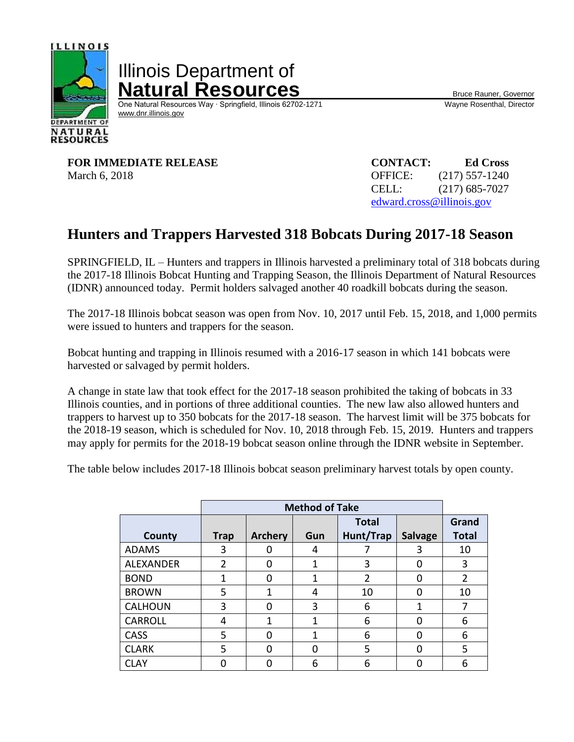

Illinois Department of **Natural Resources** Bruce Rauner, Governor

One Natural Resources Way ∙ Springfield, Illinois 62702-1271 Wayne Rosenthal, Director [www.dnr.illinois.gov](http://www.dnr.illinois.gov/)

**FOR IMMEDIATE RELEASE CONTACT: Ed Cross** March 6, 2018 **OFFICE:** (217) 557-1240

CELL: (217) 685-7027 [edward.cross@illinois.gov](mailto:edward.cross@illinois.gov)

## **Hunters and Trappers Harvested 318 Bobcats During 2017-18 Season**

SPRINGFIELD, IL – Hunters and trappers in Illinois harvested a preliminary total of 318 bobcats during the 2017-18 Illinois Bobcat Hunting and Trapping Season, the Illinois Department of Natural Resources (IDNR) announced today. Permit holders salvaged another 40 roadkill bobcats during the season.

The 2017-18 Illinois bobcat season was open from Nov. 10, 2017 until Feb. 15, 2018, and 1,000 permits were issued to hunters and trappers for the season.

Bobcat hunting and trapping in Illinois resumed with a 2016-17 season in which 141 bobcats were harvested or salvaged by permit holders.

A change in state law that took effect for the 2017-18 season prohibited the taking of bobcats in 33 Illinois counties, and in portions of three additional counties. The new law also allowed hunters and trappers to harvest up to 350 bobcats for the 2017-18 season. The harvest limit will be 375 bobcats for the 2018-19 season, which is scheduled for Nov. 10, 2018 through Feb. 15, 2019. Hunters and trappers may apply for permits for the 2018-19 bobcat season online through the IDNR website in September.

The table below includes 2017-18 Illinois bobcat season preliminary harvest totals by open county.

|                  | <b>Method of Take</b> |                |     |                |                |                |
|------------------|-----------------------|----------------|-----|----------------|----------------|----------------|
|                  |                       |                |     | <b>Total</b>   |                | Grand          |
| County           | <b>Trap</b>           | <b>Archery</b> | Gun | Hunt/Trap      | <b>Salvage</b> | <b>Total</b>   |
| <b>ADAMS</b>     | 3                     |                | 4   |                | 3              | 10             |
| <b>ALEXANDER</b> | $\overline{2}$        | $\Omega$       | 1   | 3              | ŋ              | 3              |
| <b>BOND</b>      | 1                     | U              | 1   | $\overline{2}$ |                | $\overline{2}$ |
| <b>BROWN</b>     | 5                     | 1              | 4   | 10             |                | 10             |
| <b>CALHOUN</b>   | 3                     | 0              | 3   | 6              | 1              | 7              |
| <b>CARROLL</b>   | 4                     | 1              | 1   | 6              | ŋ              | 6              |
| <b>CASS</b>      | 5                     | $\Omega$       | 1   | 6              | O              | 6              |
| <b>CLARK</b>     | 5                     | 0              | 0   | 5              | ŋ              | 5              |
| CLAY             |                       |                | 6   | 6              |                | 6              |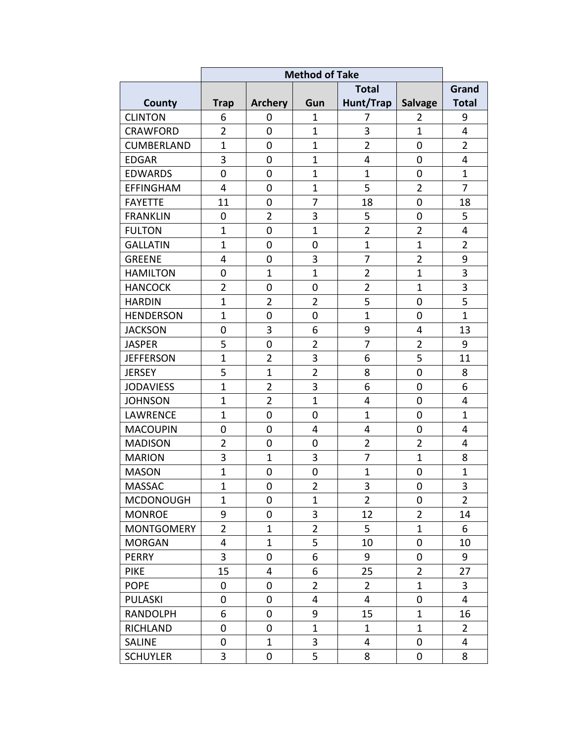|                   | <b>Method of Take</b> |                |                         |                |                |                |
|-------------------|-----------------------|----------------|-------------------------|----------------|----------------|----------------|
|                   |                       |                |                         | <b>Total</b>   |                | Grand          |
| <b>County</b>     | <b>Trap</b>           | <b>Archery</b> | Gun                     | Hunt/Trap      | <b>Salvage</b> | <b>Total</b>   |
| <b>CLINTON</b>    | 6                     | 0              | $\mathbf{1}$            | 7              | $\overline{2}$ | 9              |
| <b>CRAWFORD</b>   | $\overline{2}$        | 0              | $\mathbf{1}$            | 3              | $\mathbf{1}$   | 4              |
| <b>CUMBERLAND</b> | $\mathbf{1}$          | 0              | $\mathbf{1}$            | $\overline{2}$ | $\mathbf 0$    | $\overline{2}$ |
| <b>EDGAR</b>      | 3                     | $\mathbf 0$    | $\mathbf{1}$            | 4              | 0              | 4              |
| <b>EDWARDS</b>    | $\mathbf 0$           | $\mathbf 0$    | $\mathbf{1}$            | $\mathbf{1}$   | $\overline{0}$ | $\mathbf{1}$   |
| <b>EFFINGHAM</b>  | 4                     | $\mathbf 0$    | $\mathbf{1}$            | 5              | $\overline{2}$ | $\overline{7}$ |
| <b>FAYETTE</b>    | 11                    | $\mathbf 0$    | $\overline{7}$          | 18             | $\mathbf 0$    | 18             |
| <b>FRANKLIN</b>   | 0                     | $\overline{2}$ | 3                       | 5              | $\overline{0}$ | 5              |
| <b>FULTON</b>     | $\mathbf{1}$          | $\overline{0}$ | $\overline{1}$          | $\overline{2}$ | $\overline{2}$ | 4              |
| <b>GALLATIN</b>   | $\mathbf{1}$          | 0              | 0                       | $\mathbf{1}$   | $\mathbf{1}$   | $\overline{2}$ |
| <b>GREENE</b>     | 4                     | 0              | 3                       | 7              | $\overline{2}$ | 9              |
| <b>HAMILTON</b>   | 0                     | $\mathbf{1}$   | $\overline{1}$          | $\overline{2}$ | $\mathbf{1}$   | $\overline{3}$ |
| <b>HANCOCK</b>    | $\overline{2}$        | 0              | $\overline{0}$          | $\overline{2}$ | $\mathbf{1}$   | 3              |
| <b>HARDIN</b>     | $\mathbf{1}$          | $\overline{2}$ | $\overline{2}$          | 5              | 0              | 5              |
| <b>HENDERSON</b>  | $\mathbf{1}$          | 0              | 0                       | $\mathbf{1}$   | 0              | $\overline{1}$ |
| <b>JACKSON</b>    | $\mathbf 0$           | 3              | 6                       | 9              | $\overline{4}$ | 13             |
| <b>JASPER</b>     | 5                     | $\overline{0}$ | $\overline{2}$          | $\overline{7}$ | $\overline{2}$ | 9              |
| <b>JEFFERSON</b>  | $\mathbf{1}$          | $\overline{2}$ | 3                       | 6              | 5              | 11             |
| <b>JERSEY</b>     | 5                     | $\mathbf{1}$   | $\overline{2}$          | 8              | 0              | 8              |
| <b>JODAVIESS</b>  | $\mathbf{1}$          | $\overline{2}$ | 3                       | 6              | $\overline{0}$ | 6              |
| <b>JOHNSON</b>    | $\mathbf{1}$          | $\overline{2}$ | $\mathbf{1}$            | 4              | $\overline{0}$ | 4              |
| <b>LAWRENCE</b>   | $\mathbf{1}$          | 0              | 0                       | $\mathbf{1}$   | 0              | $\mathbf{1}$   |
| <b>MACOUPIN</b>   | $\mathbf 0$           | $\mathbf 0$    | 4                       | 4              | 0              | 4              |
| <b>MADISON</b>    | $\overline{2}$        | $\mathbf 0$    | 0                       | $\overline{2}$ | $\overline{2}$ | 4              |
| <b>MARION</b>     | 3                     | $\mathbf{1}$   | 3                       | 7              | $\mathbf{1}$   | 8              |
| <b>MASON</b>      | $\mathbf{1}$          | $\mathbf 0$    | $\boldsymbol{0}$        | $\mathbf{1}$   | $\mathbf 0$    | $\mathbf{1}$   |
| MASSAC            | $\mathbf{1}$          | $\overline{0}$ | $\overline{2}$          | 3              | $\overline{0}$ | $\overline{3}$ |
| <b>MCDONOUGH</b>  | $\mathbf{1}$          | 0              | $\mathbf{1}$            | $\overline{2}$ | $\mathbf 0$    | $\overline{2}$ |
| <b>MONROE</b>     | 9                     | 0              | 3                       | 12             | $\overline{2}$ | 14             |
| <b>MONTGOMERY</b> | $\overline{2}$        | $\mathbf{1}$   | $\overline{2}$          | 5              | $\mathbf{1}$   | 6              |
| <b>MORGAN</b>     | $\overline{4}$        | $\mathbf{1}$   | 5                       | 10             | $\pmb{0}$      | 10             |
| <b>PERRY</b>      | 3                     | 0              | 6                       | 9              | $\pmb{0}$      | 9              |
| <b>PIKE</b>       | 15                    | 4              | 6                       | 25             | $\overline{2}$ | 27             |
| <b>POPE</b>       | 0                     | 0              | $\overline{2}$          | $\overline{2}$ | $\mathbf{1}$   | 3              |
| PULASKI           | 0                     | 0              | $\overline{\mathbf{4}}$ | 4              | $\pmb{0}$      | 4              |
| <b>RANDOLPH</b>   | 6                     | 0              | 9                       | 15             | $\mathbf{1}$   | 16             |
| <b>RICHLAND</b>   | 0                     | 0              | $\mathbf{1}$            | $\mathbf{1}$   | $\mathbf{1}$   | $\overline{2}$ |
| <b>SALINE</b>     | $\mathbf 0$           | $\mathbf{1}$   | 3                       | 4              | $\mathbf 0$    | $\overline{4}$ |
| <b>SCHUYLER</b>   | 3                     | 0              | 5                       | 8              | 0              | 8              |